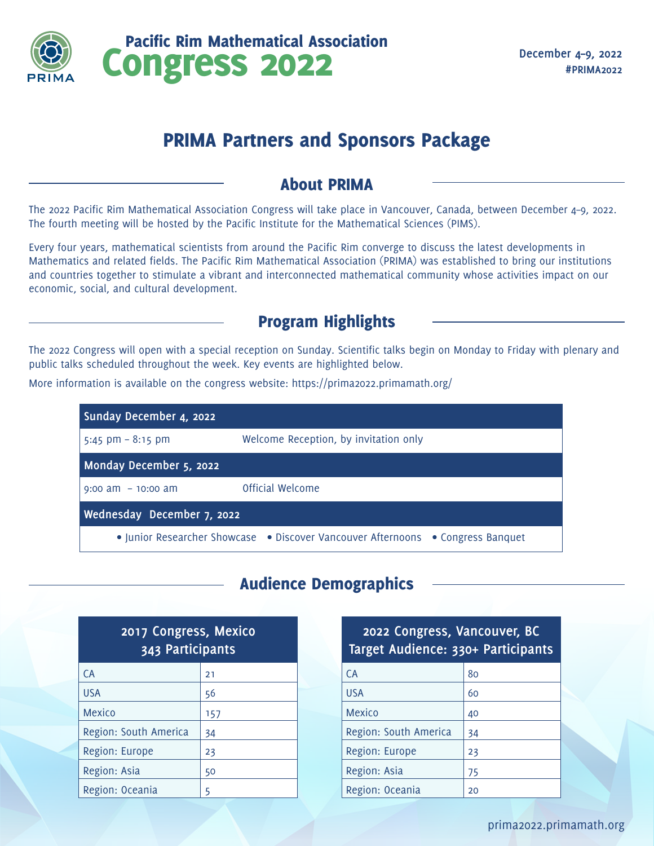

Congress 2022 Pacific Rim Mathematical Association

# PRIMA Partners and Sponsors Package

#### About PRIMA

The 2022 Pacific Rim Mathematical Association Congress will take place in Vancouver, Canada, between December 4–9, 2022. The fourth meeting will be hosted by the Pacific Institute for the Mathematical Sciences (PIMS).

Every four years, mathematical scientists from around the Pacific Rim converge to discuss the latest developments in Mathematics and related fields. The Pacific Rim Mathematical Association (PRIMA) was established to bring our institutions and countries together to stimulate a vibrant and interconnected mathematical community whose activities impact on our economic, social, and cultural development.

### Program Highlights

The 2022 Congress will open with a special reception on Sunday. Scientific talks begin on Monday to Friday with plenary and public talks scheduled throughout the week. Key events are highlighted below.

More information is available on the congress website: https://prima2022.primamath.org/

| Sunday December 4, 2022                                                         |                                       |  |
|---------------------------------------------------------------------------------|---------------------------------------|--|
| 5:45 pm $-$ 8:15 pm                                                             | Welcome Reception, by invitation only |  |
| Monday December 5, 2022                                                         |                                       |  |
| $9:00$ am $-10:00$ am                                                           | Official Welcome                      |  |
| Wednesday December 7, 2022                                                      |                                       |  |
| • Junior Researcher Showcase • Discover Vancouver Afternoons • Congress Banquet |                                       |  |

## Audience Demographics

| 2017 Congress, Mexico<br>343 Participants |     |  |
|-------------------------------------------|-----|--|
| CA                                        | 21  |  |
| <b>USA</b>                                | 56  |  |
| Mexico                                    | 157 |  |
| Region: South America                     | 34  |  |
| Region: Europe                            | 23  |  |
| Region: Asia                              | 50  |  |
| Region: Oceania                           | 5   |  |

| 2022 Congress, Vancouver, BC<br>Target Audience: 330+ Participants |    |  |  |
|--------------------------------------------------------------------|----|--|--|
| <b>CA</b>                                                          | 80 |  |  |
| <b>USA</b>                                                         | 60 |  |  |
| Mexico                                                             | 40 |  |  |
| Region: South America                                              | 34 |  |  |
| Region: Europe                                                     | 23 |  |  |
| Region: Asia                                                       | 75 |  |  |
| Region: Oceania                                                    | 20 |  |  |
|                                                                    |    |  |  |

prima2022.primamath.org